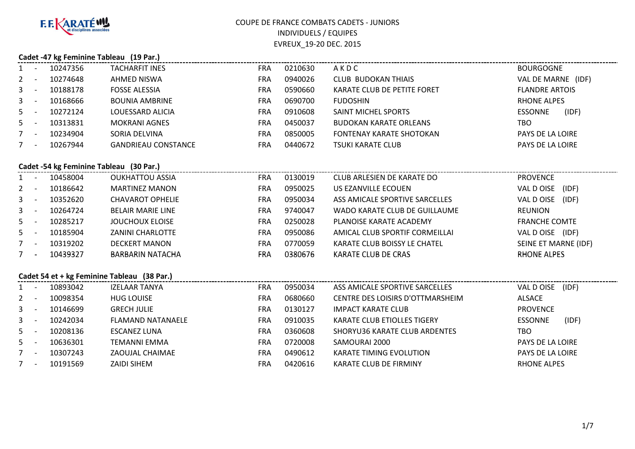

|                                         | Cadet -47 kg Feminine Tableau (19 Par.)     |          |                            |            |         |                                      |                         |  |  |
|-----------------------------------------|---------------------------------------------|----------|----------------------------|------------|---------|--------------------------------------|-------------------------|--|--|
|                                         | $\sim$ $-$                                  | 10247356 | <b>TACHARFIT INES</b>      | <b>FRA</b> | 0210630 | AKDC                                 | <b>BOURGOGNE</b>        |  |  |
| 2                                       | $\sim$ $-$                                  | 10274648 | <b>AHMED NISWA</b>         | <b>FRA</b> | 0940026 | <b>CLUB BUDOKAN THIAIS</b>           | VAL DE MARNE (IDF)      |  |  |
| 3                                       | $\sim$ $-$                                  | 10188178 | <b>FOSSE ALESSIA</b>       | <b>FRA</b> | 0590660 | KARATE CLUB DE PETITE FORET          | <b>FLANDRE ARTOIS</b>   |  |  |
| 3                                       | $\sim$ $-$                                  | 10168666 | <b>BOUNIA AMBRINE</b>      | <b>FRA</b> | 0690700 | <b>FUDOSHIN</b>                      | <b>RHONE ALPES</b>      |  |  |
| 5                                       | $\sim$                                      | 10272124 | LOUESSARD ALICIA           | <b>FRA</b> | 0910608 | SAINT MICHEL SPORTS                  | (IDF)<br><b>ESSONNE</b> |  |  |
| 5                                       | $\sim$ $-$                                  | 10313831 | <b>MOKRANI AGNES</b>       | <b>FRA</b> | 0450037 | <b>BUDOKAN KARATE ORLEANS</b>        | <b>TBO</b>              |  |  |
| $7 -$                                   |                                             | 10234904 | SORIA DELVINA              | <b>FRA</b> | 0850005 | <b>FONTENAY KARATE SHOTOKAN</b>      | PAYS DE LA LOIRE        |  |  |
| $7 -$                                   |                                             | 10267944 | <b>GANDRIEAU CONSTANCE</b> | <b>FRA</b> | 0440672 | <b>TSUKI KARATE CLUB</b>             | PAYS DE LA LOIRE        |  |  |
| Cadet -54 kg Feminine Tableau (30 Par.) |                                             |          |                            |            |         |                                      |                         |  |  |
| $1 -$                                   |                                             | 10458004 | <b>OUKHATTOU ASSIA</b>     | <b>FRA</b> | 0130019 | CLUB ARLESIEN DE KARATE DO           | <b>PROVENCE</b>         |  |  |
| 2                                       | $\sim$ $-$                                  | 10186642 | <b>MARTINEZ MANON</b>      | <b>FRA</b> | 0950025 | US EZANVILLE ECOUEN                  | VAL D OISE (IDF)        |  |  |
| 3                                       | $\sim$ $-$                                  | 10352620 | <b>CHAVAROT OPHELIE</b>    | <b>FRA</b> | 0950034 | ASS AMICALE SPORTIVE SARCELLES       | VAL D OISE (IDF)        |  |  |
| 3                                       | $\sim$ $-$                                  | 10264724 | <b>BELAIR MARIE LINE</b>   | <b>FRA</b> | 9740047 | WADO KARATE CLUB DE GUILLAUME        | <b>REUNION</b>          |  |  |
| 5                                       | $\sim$ $-$                                  | 10285217 | <b>JOUCHOUX ELOISE</b>     | <b>FRA</b> | 0250028 | PLANOISE KARATE ACADEMY              | <b>FRANCHE COMTE</b>    |  |  |
| 5                                       | $\sim$                                      | 10185904 | <b>ZANINI CHARLOTTE</b>    | <b>FRA</b> | 0950086 | AMICAL CLUB SPORTIF CORMEILLAI       | VAL D OISE (IDF)        |  |  |
| $7 -$                                   |                                             | 10319202 | <b>DECKERT MANON</b>       | <b>FRA</b> | 0770059 | KARATE CLUB BOISSY LE CHATEL         | SEINE ET MARNE (IDF)    |  |  |
| $7 -$                                   |                                             | 10439327 | <b>BARBARIN NATACHA</b>    | <b>FRA</b> | 0380676 | <b>KARATE CLUB DE CRAS</b>           | <b>RHONE ALPES</b>      |  |  |
|                                         | Cadet 54 et + kg Feminine Tableau (38 Par.) |          |                            |            |         |                                      |                         |  |  |
| $1 -$                                   |                                             | 10893042 | <b>IZELAAR TANYA</b>       | <b>FRA</b> | 0950034 | ASS AMICALE SPORTIVE SARCELLES       | VAL D OISE (IDF)        |  |  |
| $2 -$                                   |                                             | 10098354 | <b>HUG LOUISE</b>          | <b>FRA</b> | 0680660 | CENTRE DES LOISIRS D'OTTMARSHEIM     | <b>ALSACE</b>           |  |  |
| 3                                       | $\sim$ $-$                                  | 10146699 | <b>GRECH JULIE</b>         | <b>FRA</b> | 0130127 | <b>IMPACT KARATE CLUB</b>            | <b>PROVENCE</b>         |  |  |
| 3                                       | $\sim$ $-$                                  | 10242034 | <b>FLAMAND NATANAELE</b>   | <b>FRA</b> | 0910035 | <b>KARATE CLUB ETIOLLES TIGERY</b>   | (IDF)<br><b>ESSONNE</b> |  |  |
| 5                                       | $\sim$                                      | 10208136 | <b>ESCANEZ LUNA</b>        | <b>FRA</b> | 0360608 | <b>SHORYU36 KARATE CLUB ARDENTES</b> | <b>TBO</b>              |  |  |
| 5                                       | $\sim$ $-$                                  | 10636301 | TEMANNI EMMA               | <b>FRA</b> | 0720008 | SAMOURAI 2000                        | PAYS DE LA LOIRE        |  |  |
| $7^{\circ}$                             | $\sim$ $\sim$                               | 10307243 | ZAOUJAL CHAIMAE            | <b>FRA</b> | 0490612 | KARATE TIMING EVOLUTION              | PAYS DE LA LOIRE        |  |  |
| $7 -$                                   |                                             | 10191569 | <b>ZAIDI SIHEM</b>         | <b>FRA</b> | 0420616 | KARATE CLUB DE FIRMINY               | <b>RHONE ALPES</b>      |  |  |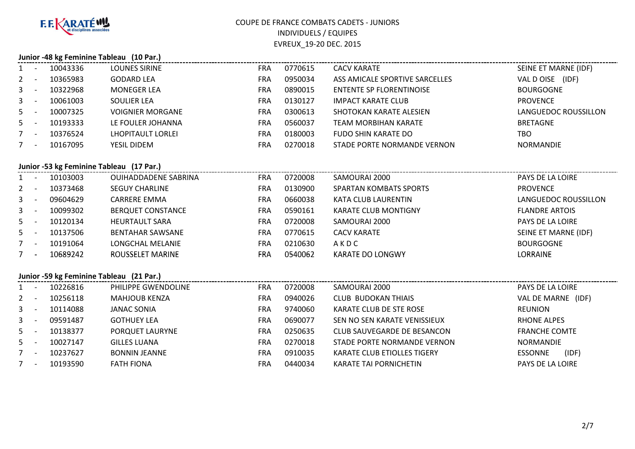

|                | Junior -48 kg Feminine Tableau (10 Par.) |                                          |                             |            |         |                                    |                         |  |  |  |
|----------------|------------------------------------------|------------------------------------------|-----------------------------|------------|---------|------------------------------------|-------------------------|--|--|--|
| $\mathbf{1}$   | $\sim$ $-$                               | 10043336                                 | <b>LOUNES SIRINE</b>        | <b>FRA</b> | 0770615 | <b>CACV KARATE</b>                 | SEINE ET MARNE (IDF)    |  |  |  |
| $\overline{2}$ | $\sim$                                   | 10365983                                 | <b>GODARD LEA</b>           | <b>FRA</b> | 0950034 | ASS AMICALE SPORTIVE SARCELLES     | VAL D OISE (IDF)        |  |  |  |
| 3              | $\sim$                                   | 10322968                                 | <b>MONEGER LEA</b>          | <b>FRA</b> | 0890015 | <b>ENTENTE SP FLORENTINOISE</b>    | <b>BOURGOGNE</b>        |  |  |  |
| 3              | $\sim$                                   | 10061003                                 | <b>SOULIER LEA</b>          | <b>FRA</b> | 0130127 | <b>IMPACT KARATE CLUB</b>          | <b>PROVENCE</b>         |  |  |  |
| 5              | $\sim$                                   | 10007325                                 | <b>VOIGNIER MORGANE</b>     | <b>FRA</b> | 0300613 | SHOTOKAN KARATE ALESIEN            | LANGUEDOC ROUSSILLON    |  |  |  |
| 5              | $\sim$                                   | 10193333                                 | LE FOULER JOHANNA           | <b>FRA</b> | 0560037 | <b>TEAM MORBIHAN KARATE</b>        | <b>BRETAGNE</b>         |  |  |  |
| $\overline{7}$ | $\sim$ $-$                               | 10376524                                 | LHOPITAULT LORLEI           | <b>FRA</b> | 0180003 | <b>FUDO SHIN KARATE DO</b>         | <b>TBO</b>              |  |  |  |
| $7 -$          |                                          | 10167095                                 | YESIL DIDEM                 | <b>FRA</b> | 0270018 | STADE PORTE NORMANDE VERNON        | <b>NORMANDIE</b>        |  |  |  |
|                |                                          |                                          |                             |            |         |                                    |                         |  |  |  |
|                |                                          | Junior -53 kg Feminine Tableau (17 Par.) |                             |            |         |                                    |                         |  |  |  |
| $\mathbf{1}$   | $\sim$ $-$                               | 10103003                                 | <b>OUIHADDADENE SABRINA</b> | <b>FRA</b> | 0720008 | SAMOURAI 2000                      | PAYS DE LA LOIRE        |  |  |  |
| $\overline{2}$ | $\sim$                                   | 10373468                                 | <b>SEGUY CHARLINE</b>       | <b>FRA</b> | 0130900 | <b>SPARTAN KOMBATS SPORTS</b>      | <b>PROVENCE</b>         |  |  |  |
| 3              | $\sim$                                   | 09604629                                 | <b>CARRERE EMMA</b>         | <b>FRA</b> | 0660038 | KATA CLUB LAURENTIN                | LANGUEDOC ROUSSILLON    |  |  |  |
| 3              | $\sim$ $-$                               | 10099302                                 | <b>BERQUET CONSTANCE</b>    | <b>FRA</b> | 0590161 | <b>KARATE CLUB MONTIGNY</b>        | <b>FLANDRE ARTOIS</b>   |  |  |  |
| 5              | $\sim$ $-$                               | 10120134                                 | <b>HEURTAULT SARA</b>       | <b>FRA</b> | 0720008 | SAMOURAI 2000                      | PAYS DE LA LOIRE        |  |  |  |
| 5              | $\sim$                                   | 10137506                                 | <b>BENTAHAR SAWSANE</b>     | <b>FRA</b> | 0770615 | <b>CACV KARATE</b>                 | SEINE ET MARNE (IDF)    |  |  |  |
| 7 <sup>7</sup> | $\sim$ $-$                               | 10191064                                 | LONGCHAL MELANIE            | <b>FRA</b> | 0210630 | AKDC                               | <b>BOURGOGNE</b>        |  |  |  |
| $7 -$          |                                          | 10689242                                 | ROUSSELET MARINE            | <b>FRA</b> | 0540062 | <b>KARATE DO LONGWY</b>            | LORRAINE                |  |  |  |
|                |                                          |                                          |                             |            |         |                                    |                         |  |  |  |
|                |                                          | Junior -59 kg Feminine Tableau (21 Par.) |                             |            |         |                                    |                         |  |  |  |
| $1 -$          |                                          | 10226816                                 | PHILIPPE GWENDOLINE         | <b>FRA</b> | 0720008 | SAMOURAI 2000                      | PAYS DE LA LOIRE        |  |  |  |
| $\overline{2}$ | $\sim$ $-$                               | 10256118                                 | <b>MAHJOUB KENZA</b>        | <b>FRA</b> | 0940026 | <b>CLUB BUDOKAN THIAIS</b>         | VAL DE MARNE (IDF)      |  |  |  |
| 3              | $\sim$                                   | 10114088                                 | <b>JANAC SONIA</b>          | <b>FRA</b> | 9740060 | KARATE CLUB DE STE ROSE            | <b>REUNION</b>          |  |  |  |
| 3              | $\sim$                                   | 09591487                                 | <b>GOTHUEY LEA</b>          | <b>FRA</b> | 0690077 | SEN NO SEN KARATE VENISSIEUX       | <b>RHONE ALPES</b>      |  |  |  |
| 5              | $\sim$ $-$                               | 10138377                                 | PORQUET LAURYNE             | <b>FRA</b> | 0250635 | CLUB SAUVEGARDE DE BESANCON        | <b>FRANCHE COMTE</b>    |  |  |  |
| 5.             | $\sim$                                   | 10027147                                 | <b>GILLES LUANA</b>         | <b>FRA</b> | 0270018 | STADE PORTE NORMANDE VERNON        | <b>NORMANDIE</b>        |  |  |  |
| $7 -$          |                                          | 10237627                                 | <b>BONNIN JEANNE</b>        | <b>FRA</b> | 0910035 | <b>KARATE CLUB ETIOLLES TIGERY</b> | <b>ESSONNE</b><br>(IDF) |  |  |  |
| $7 -$          |                                          | 10193590                                 | <b>FATH FIONA</b>           | <b>FRA</b> | 0440034 | <b>KARATE TAI PORNICHETIN</b>      | PAYS DE LA LOIRE        |  |  |  |
|                |                                          |                                          |                             |            |         |                                    |                         |  |  |  |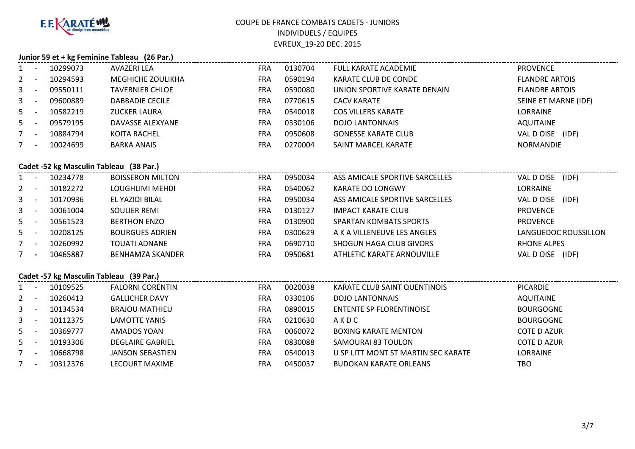

#### **Junior 59 et + kg Feminine Tableau (26 Par.)**

|                                         | $\sim$                                  | 10299073     | AVAZERI LEA             | <b>FRA</b> | 0130704 | <b>FULL KARATE ACADEMIE</b>         | <b>PROVENCE</b>       |  |  |
|-----------------------------------------|-----------------------------------------|--------------|-------------------------|------------|---------|-------------------------------------|-----------------------|--|--|
| 2                                       | $\sim$ $-$                              | 10294593     | MEGHICHE ZOULIKHA       | <b>FRA</b> | 0590194 | KARATE CLUB DE CONDE                | <b>FLANDRE ARTOIS</b> |  |  |
| 3                                       | $\sim$ $-$                              | 09550111     | <b>TAVERNIER CHLOE</b>  | <b>FRA</b> | 0590080 | UNION SPORTIVE KARATE DENAIN        | <b>FLANDRE ARTOIS</b> |  |  |
| 3                                       | $\sim$ $-$                              | 09600889     | <b>DABBADIE CECILE</b>  | <b>FRA</b> | 0770615 | <b>CACV KARATE</b>                  | SEINE ET MARNE (IDF)  |  |  |
| 5                                       | $\sim$ $-$                              | 10582219     | <b>ZUCKER LAURA</b>     | <b>FRA</b> | 0540018 | <b>COS VILLERS KARATE</b>           | <b>LORRAINE</b>       |  |  |
| 5                                       | $\sim$ $-$                              | 09579195     | DAVASSE ALEXYANE        | <b>FRA</b> | 0330106 | <b>DOJO LANTONNAIS</b>              | <b>AQUITAINE</b>      |  |  |
| $7 -$                                   |                                         | 10884794     | <b>KOITA RACHEL</b>     | <b>FRA</b> | 0950608 | <b>GONESSE KARATE CLUB</b>          | VAL D OISE (IDF)      |  |  |
| $7 -$                                   |                                         | 10024699     | <b>BARKA ANAIS</b>      | <b>FRA</b> | 0270004 | SAINT MARCEL KARATE                 | <b>NORMANDIE</b>      |  |  |
| Cadet -52 kg Masculin Tableau (38 Par.) |                                         |              |                         |            |         |                                     |                       |  |  |
|                                         |                                         | 1 - 10234778 | <b>BOISSERON MILTON</b> | FRA        | 0950034 | ASS AMICALE SPORTIVE SARCELLES      | VAL D OISE (IDF)      |  |  |
| $2 -$                                   |                                         | 10182272     | LOUGHLIMI MEHDI         | FRA        | 0540062 | KARATE DO LONGWY                    | LORRAINE              |  |  |
| 3                                       | $\sim$ $-$                              | 10170936     | EL YAZIDI BILAL         | <b>FRA</b> | 0950034 | ASS AMICALE SPORTIVE SARCELLES      | VAL D OISE (IDF)      |  |  |
| 3                                       | $\sim$ $-$                              | 10061004     | SOULIER REMI            | <b>FRA</b> | 0130127 | <b>IMPACT KARATE CLUB</b>           | <b>PROVENCE</b>       |  |  |
| 5                                       | $\sim$ $-$                              | 10561523     | <b>BERTHON ENZO</b>     | <b>FRA</b> | 0130900 | <b>SPARTAN KOMBATS SPORTS</b>       | <b>PROVENCE</b>       |  |  |
| $5 -$                                   |                                         | 10208125     | <b>BOURGUES ADRIEN</b>  | <b>FRA</b> | 0300629 | A K A VILLENEUVE LES ANGLES         | LANGUEDOC ROUSSILLON  |  |  |
| $7 -$                                   |                                         | 10260992     | <b>TOUATI ADNANE</b>    | <b>FRA</b> | 0690710 | <b>SHOGUN HAGA CLUB GIVORS</b>      | <b>RHONE ALPES</b>    |  |  |
| $7 -$                                   |                                         | 10465887     | <b>BENHAMZA SKANDER</b> | <b>FRA</b> | 0950681 | ATHLETIC KARATE ARNOUVILLE          | VAL D OISE (IDF)      |  |  |
|                                         | Cadet -57 kg Masculin Tableau (39 Par.) |              |                         |            |         |                                     |                       |  |  |
|                                         |                                         | 1 - 10109525 | <b>FALORNI CORENTIN</b> | <b>FRA</b> | 0020038 | KARATE CLUB SAINT QUENTINOIS        | <b>PICARDIE</b>       |  |  |
| 2                                       | $\sim$ $-$                              | 10260413     | <b>GALLICHER DAVY</b>   | <b>FRA</b> | 0330106 | <b>DOJO LANTONNAIS</b>              | <b>AQUITAINE</b>      |  |  |
| 3                                       | $\sim$ $-$                              | 10134534     | <b>BRAJOU MATHIEU</b>   | <b>FRA</b> | 0890015 | <b>ENTENTE SP FLORENTINOISE</b>     | <b>BOURGOGNE</b>      |  |  |
| 3                                       | $\sim$ $-$                              | 10112375     | LAMOTTE YANIS           | <b>FRA</b> | 0210630 | AKDC                                | <b>BOURGOGNE</b>      |  |  |
| 5                                       | $\sim$ $-$                              | 10369777     | AMADOS YOAN             | <b>FRA</b> | 0060072 | <b>BOXING KARATE MENTON</b>         | <b>COTE D AZUR</b>    |  |  |
| $5 - 5$                                 |                                         | 10193306     | <b>DEGLAIRE GABRIEL</b> | <b>FRA</b> | 0830088 | SAMOURAI 83 TOULON                  | <b>COTE D AZUR</b>    |  |  |
| $7 -$                                   |                                         | 10668798     | <b>JANSON SEBASTIEN</b> | <b>FRA</b> | 0540013 | U SP LITT MONT ST MARTIN SEC KARATE | <b>LORRAINE</b>       |  |  |
| $7 -$                                   |                                         | 10312376     | LECOURT MAXIME          | <b>FRA</b> | 0450037 | <b>BUDOKAN KARATE ORLEANS</b>       | <b>TBO</b>            |  |  |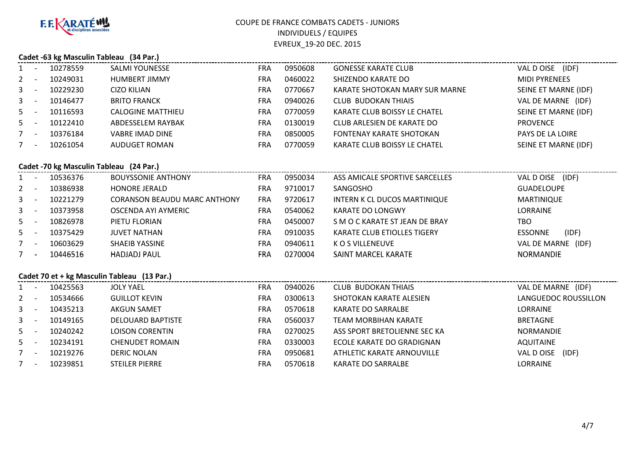

#### **Cadet -63 kg Masculin Tableau (34 Par.)**

|                                         |                                             | 10278559     | SALMI YOUNESSE                      | FRA        | 0950608 | <b>GONESSE KARATE CLUB</b>      | VAL D OISE (IDF)     |  |  |
|-----------------------------------------|---------------------------------------------|--------------|-------------------------------------|------------|---------|---------------------------------|----------------------|--|--|
|                                         | $2 - 1$                                     | 10249031     | HUMBERT JIMMY                       | <b>FRA</b> | 0460022 | SHIZENDO KARATE DO              | <b>MIDI PYRENEES</b> |  |  |
|                                         | $3 - 1$                                     | 10229230     | <b>CIZO KILIAN</b>                  | <b>FRA</b> | 0770667 | KARATE SHOTOKAN MARY SUR MARNE  | SEINE ET MARNE (IDF) |  |  |
|                                         | $3 - -$                                     | 10146477     | <b>BRITO FRANCK</b>                 | <b>FRA</b> | 0940026 | <b>CLUB BUDOKAN THIAIS</b>      | VAL DE MARNE (IDF)   |  |  |
|                                         | $5 - 1$                                     | 10116593     | <b>CALOGINE MATTHIEU</b>            | <b>FRA</b> | 0770059 | KARATE CLUB BOISSY LE CHATEL    | SEINE ET MARNE (IDF) |  |  |
|                                         | $5 - 1$                                     | 10122410     | ABDESSELEM RAYBAK                   | <b>FRA</b> | 0130019 | CLUB ARLESIEN DE KARATE DO      | <b>PROVENCE</b>      |  |  |
|                                         | $7 -$                                       | 10376184     | <b>VABRE IMAD DINE</b>              | <b>FRA</b> | 0850005 | <b>FONTENAY KARATE SHOTOKAN</b> | PAYS DE LA LOIRE     |  |  |
|                                         | $7 -$                                       | 10261054     | <b>AUDUGET ROMAN</b>                | <b>FRA</b> | 0770059 | KARATE CLUB BOISSY LE CHATEL    | SEINE ET MARNE (IDF) |  |  |
| Cadet -70 kg Masculin Tableau (24 Par.) |                                             |              |                                     |            |         |                                 |                      |  |  |
|                                         |                                             | 1 - 10536376 | <b>BOUYSSONIE ANTHONY</b>           | FRA        | 0950034 | ASS AMICALE SPORTIVE SARCELLES  | VAL D OISE (IDF)     |  |  |
|                                         |                                             | 2 - 10386938 | <b>HONORE JERALD</b>                | <b>FRA</b> | 9710017 | SANGOSHO                        | <b>GUADELOUPE</b>    |  |  |
|                                         |                                             | 3 - 10221279 | <b>CORANSON BEAUDU MARC ANTHONY</b> | FRA        | 9720617 | INTERN K CL DUCOS MARTINIQUE    | <b>MARTINIQUE</b>    |  |  |
|                                         | $3 - 1$                                     | 10373958     | OSCENDA AYI AYMERIC                 | <b>FRA</b> | 0540062 | <b>KARATE DO LONGWY</b>         | LORRAINE             |  |  |
|                                         | $5 -$                                       | 10826978     | PIETU FLORIAN                       | <b>FRA</b> | 0450007 | S M O C KARATE ST JEAN DE BRAY  | TBO                  |  |  |
|                                         | $5 - -$                                     | 10375429     | <b>JUVET NATHAN</b>                 | <b>FRA</b> | 0910035 | KARATE CLUB ETIOLLES TIGERY     | ESSONNE<br>(IDF)     |  |  |
|                                         | $7 -$                                       | 10603629     | SHAEIB YASSINE                      | FRA        | 0940611 | K O S VILLENEUVE                | VAL DE MARNE (IDF)   |  |  |
|                                         | $7 -$                                       | 10446516     | HADJADJ PAUL                        | <b>FRA</b> | 0270004 | SAINT MARCEL KARATE             | NORMANDIE            |  |  |
|                                         | Cadet 70 et + kg Masculin Tableau (13 Par.) |              |                                     |            |         |                                 |                      |  |  |
|                                         |                                             | 1 - 10425563 | <b>JOLY YAEL</b>                    | <b>FRA</b> | 0940026 | <b>CLUB BUDOKAN THIAIS</b>      | VAL DE MARNE (IDF)   |  |  |
|                                         | $2 -$                                       | 10534666     | <b>GUILLOT KEVIN</b>                | <b>FRA</b> | 0300613 | SHOTOKAN KARATE ALESIEN         | LANGUEDOC ROUSSILLON |  |  |
|                                         | $3 - 1$                                     | 10435213     | <b>AKGUN SAMET</b>                  | <b>FRA</b> | 0570618 | KARATE DO SARRALBE              | LORRAINE             |  |  |
|                                         | $3 - 1$                                     | 10149165     | DELOUARD BAPTISTE                   | FRA        | 0560037 | <b>TEAM MORBIHAN KARATE</b>     | <b>BRETAGNE</b>      |  |  |
|                                         | $5 -$                                       | 10240242     | <b>LOISON CORENTIN</b>              | <b>FRA</b> | 0270025 | ASS SPORT BRETOLIENNE SEC KA    | NORMANDIE            |  |  |
|                                         | $5 -$                                       | 10234191     | <b>CHENUDET ROMAIN</b>              | <b>FRA</b> | 0330003 | ECOLE KARATE DO GRADIGNAN       | AQUITAINE            |  |  |
|                                         | $7 -$                                       | 10219276     | <b>DERIC NOLAN</b>                  | <b>FRA</b> | 0950681 | ATHLETIC KARATE ARNOUVILLE      | VAL D OISE (IDF)     |  |  |
|                                         |                                             | 7 - 10239851 | <b>STEILER PIERRE</b>               | <b>FRA</b> | 0570618 | KARATE DO SARRALBE              | LORRAINE             |  |  |
|                                         |                                             |              |                                     |            |         |                                 |                      |  |  |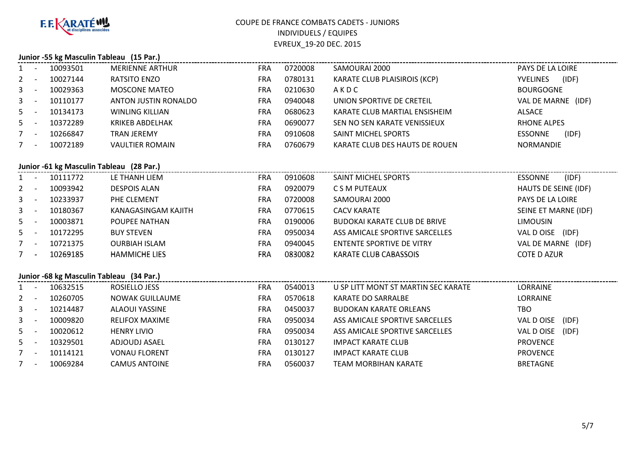

|                | Junior -55 kg Masculin Tableau (15 Par.) |                                          |                             |            |         |                                     |                         |  |  |  |
|----------------|------------------------------------------|------------------------------------------|-----------------------------|------------|---------|-------------------------------------|-------------------------|--|--|--|
| 1              | $\sim 10^{-1}$                           | 10093501                                 | <b>MERIENNE ARTHUR</b>      | <b>FRA</b> | 0720008 | SAMOURAI 2000                       | PAYS DE LA LOIRE        |  |  |  |
| $2 -$          |                                          | 10027144                                 | <b>RATSITO ENZO</b>         | <b>FRA</b> | 0780131 | KARATE CLUB PLAISIROIS (KCP)        | (IDF)<br>YVELINES       |  |  |  |
| 3              | $\sim$ $-$                               | 10029363                                 | <b>MOSCONE MATEO</b>        | <b>FRA</b> | 0210630 | AKDC                                | <b>BOURGOGNE</b>        |  |  |  |
| $\mathbf{3}$   | $\sim$ $-$                               | 10110177                                 | <b>ANTON JUSTIN RONALDO</b> | <b>FRA</b> | 0940048 | UNION SPORTIVE DE CRETEIL           | VAL DE MARNE (IDF)      |  |  |  |
| 5              | $\sim$ $-$                               | 10134173                                 | <b>WINLING KILLIAN</b>      | <b>FRA</b> | 0680623 | KARATE CLUB MARTIAL ENSISHEIM       | <b>ALSACE</b>           |  |  |  |
| 5              | $\sim$ $-$                               | 10372289                                 | <b>KRIKEB ABDELHAK</b>      | <b>FRA</b> | 0690077 | SEN NO SEN KARATE VENISSIEUX        | <b>RHONE ALPES</b>      |  |  |  |
| $7^{\circ}$    | $\sim$ $-$                               | 10266847                                 | <b>TRAN JEREMY</b>          | <b>FRA</b> | 0910608 | <b>SAINT MICHEL SPORTS</b>          | <b>ESSONNE</b><br>(IDF) |  |  |  |
| $7 -$          |                                          | 10072189                                 | <b>VAULTIER ROMAIN</b>      | <b>FRA</b> | 0760679 | KARATE CLUB DES HAUTS DE ROUEN      | <b>NORMANDIE</b>        |  |  |  |
|                |                                          | Junior -61 kg Masculin Tableau (28 Par.) |                             |            |         |                                     |                         |  |  |  |
|                | $\sim$ $-$                               | 10111772                                 | LE THANH LIEM               | <b>FRA</b> | 0910608 | SAINT MICHEL SPORTS                 | <b>ESSONNE</b><br>(IDF) |  |  |  |
| $\mathbf{2}$   | $\sim$ $-$                               | 10093942                                 | <b>DESPOIS ALAN</b>         | <b>FRA</b> | 0920079 | C S M PUTEAUX                       | HAUTS DE SEINE (IDF)    |  |  |  |
| $\mathbf{3}$   | $\sim$ $-$                               | 10233937                                 | PHE CLEMENT                 | <b>FRA</b> | 0720008 | SAMOURAI 2000                       | PAYS DE LA LOIRE        |  |  |  |
| 3              | $\sim$ $-$                               | 10180367                                 | KANAGASINGAM KAJITH         | <b>FRA</b> | 0770615 | <b>CACV KARATE</b>                  | SEINE ET MARNE (IDF)    |  |  |  |
| 5              | $\sim$ $-$                               | 10003871                                 | POUPEE NATHAN               | <b>FRA</b> | 0190006 | <b>BUDOKAI KARATE CLUB DE BRIVE</b> | <b>LIMOUSIN</b>         |  |  |  |
| 5 <sub>1</sub> | $\sim$ $-$                               | 10172295                                 | <b>BUY STEVEN</b>           | <b>FRA</b> | 0950034 | ASS AMICALE SPORTIVE SARCELLES      | VAL D OISE (IDF)        |  |  |  |
| $7^{\circ}$    | $\sim$ $-$                               | 10721375                                 | <b>OURBIAH ISLAM</b>        | <b>FRA</b> | 0940045 | ENTENTE SPORTIVE DE VITRY           | VAL DE MARNE (IDF)      |  |  |  |
| $7 -$          |                                          | 10269185                                 | <b>HAMMICHE LIES</b>        | <b>FRA</b> | 0830082 | <b>KARATE CLUB CABASSOIS</b>        | <b>COTE D AZUR</b>      |  |  |  |
|                |                                          | Junior -68 kg Masculin Tableau (34 Par.) |                             |            |         |                                     |                         |  |  |  |
| 1              | $\sim$ $-$                               | 10632515                                 | ROSIELLO JESS               | <b>FRA</b> | 0540013 | U SP LITT MONT ST MARTIN SEC KARATE | LORRAINE                |  |  |  |
| $\overline{2}$ | $\sim$                                   | 10260705                                 | <b>NOWAK GUILLAUME</b>      | <b>FRA</b> | 0570618 | KARATE DO SARRALBE                  | LORRAINE                |  |  |  |
| 3              | $\overline{a}$                           | 10214487                                 | <b>ALAOUI YASSINE</b>       | <b>FRA</b> | 0450037 | <b>BUDOKAN KARATE ORLEANS</b>       | <b>TBO</b>              |  |  |  |
| 3              | $\sim$ $-$                               | 10009820                                 | <b>RELIFOX MAXIME</b>       | <b>FRA</b> | 0950034 | ASS AMICALE SPORTIVE SARCELLES      | VAL D OISE (IDF)        |  |  |  |
| 5              | $\sim$ $-$                               | 10020612                                 | <b>HENRY LIVIO</b>          | <b>FRA</b> | 0950034 | ASS AMICALE SPORTIVE SARCELLES      | VAL DOISE (IDF)         |  |  |  |
| 5              | $\sim$                                   | 10329501                                 | ADJOUDJ ASAEL               | <b>FRA</b> | 0130127 | <b>IMPACT KARATE CLUB</b>           | <b>PROVENCE</b>         |  |  |  |
| $7 -$          |                                          | 10114121                                 | <b>VONAU FLORENT</b>        | <b>FRA</b> | 0130127 | <b>IMPACT KARATE CLUB</b>           | <b>PROVENCE</b>         |  |  |  |
| $7 -$          |                                          | 10069284                                 | <b>CAMUS ANTOINE</b>        | <b>FRA</b> | 0560037 | <b>TEAM MORBIHAN KARATE</b>         | <b>BRETAGNE</b>         |  |  |  |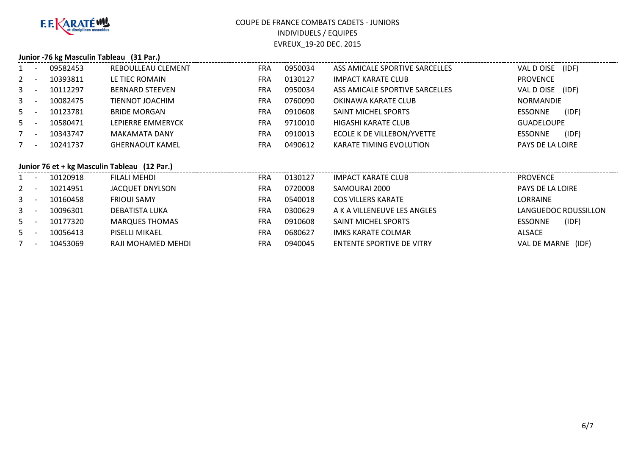

#### **Junior -76 kg Masculin Tableau (31 Par.)**

| $1 -$   | 09582453 | REBOULLEAU CLEMENT     | <b>FRA</b> | 0950034 | ASS AMICALE SPORTIVE SARCELLES | VAL D OISE<br>(IDF)     |
|---------|----------|------------------------|------------|---------|--------------------------------|-------------------------|
| $2 -$   | 10393811 | LE TIEC ROMAIN         | <b>FRA</b> | 0130127 | <b>IMPACT KARATE CLUB</b>      | <b>PROVENCE</b>         |
| $3 -$   | 10112297 | <b>BERNARD STEEVEN</b> | <b>FRA</b> | 0950034 | ASS AMICALE SPORTIVE SARCELLES | VAL D OISE<br>(IDF)     |
| $3 - -$ | 10082475 | TIENNOT JOACHIM        | <b>FRA</b> | 0760090 | OKINAWA KARATE CLUB            | NORMANDIE               |
| $5 -$   | 10123781 | <b>BRIDE MORGAN</b>    | <b>FRA</b> | 0910608 | <b>SAINT MICHEL SPORTS</b>     | (IDF)<br><b>ESSONNE</b> |
| $5 -$   | 10580471 | LEPIERRE EMMERYCK      | <b>FRA</b> | 9710010 | HIGASHI KARATE CLUB            | <b>GUADELOUPE</b>       |
| $7 -$   | 10343747 | <b>MAKAMATA DANY</b>   | <b>FRA</b> | 0910013 | ECOLE K DE VILLEBON/YVETTE     | (IDF)<br><b>ESSONNE</b> |
| $7 -$   | 10241737 | <b>GHERNAOUT KAMEL</b> | <b>FRA</b> | 0490612 | <b>KARATE TIMING EVOLUTION</b> | PAYS DE LA LOIRE        |
|         |          |                        |            |         |                                |                         |

#### **Junior 76 et + kg Masculin Tableau (12 Par.)**

|       |                          | 10120918 | FILALI MEHDI           | FRA | 0130127 | <b>IMPACT KARATE CLUB</b>   | <b>PROVENCE</b>         |
|-------|--------------------------|----------|------------------------|-----|---------|-----------------------------|-------------------------|
| $2 -$ |                          | 10214951 | <b>JACQUET DNYLSON</b> | FRA | 0720008 | SAMOURAI 2000               | PAYS DE LA LOIRE        |
| $3 -$ |                          | 10160458 | <b>FRIOUI SAMY</b>     | FRA | 0540018 | <b>COS VILLERS KARATE</b>   | LORRAINE                |
| $3 -$ |                          | 10096301 | DEBATISTA LUKA         | FRA | 0300629 | A K A VILLENEUVE LES ANGLES | LANGUEDOC ROUSSILLON    |
| $5 -$ |                          | 10177320 | <b>MARQUES THOMAS</b>  | FRA | 0910608 | SAINT MICHEL SPORTS         | (IDF)<br><b>ESSONNE</b> |
| $5 -$ |                          | 10056413 | PISELLI MIKAEL         | FRA | 0680627 | IMKS KARATE COLMAR          | ALSACE                  |
|       | $\overline{\phantom{a}}$ | 10453069 | RAJI MOHAMED MEHDI     | FRA | 0940045 | ENTENTE SPORTIVE DE VITRY   | VAL DE MARNE (IDF)      |